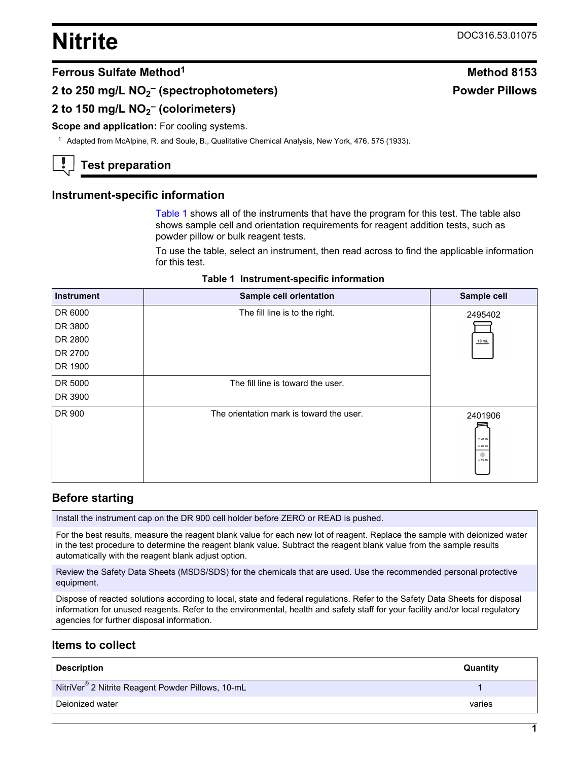## **Nitrite** DOC316.53.01075

#### **Ferrous Sulfate Method<sup>1</sup> Method 8153**

#### **2 to 250 mg/L NO<sup>2</sup> – (spectrophotometers)**

### **2 to 150 mg/L NO<sup>2</sup> – (colorimeters)**

#### **Scope and application:** For cooling systems.

<sup>1</sup> Adapted from McAlpine, R. and Soule, B., Qualitative Chemical Analysis, New York, 476, 575 (1933).

### **Test preparation**

#### **Instrument-specific information**

[Table 1](#page-0-0) shows all of the instruments that have the program for this test. The table also shows sample cell and orientation requirements for reagent addition tests, such as powder pillow or bulk reagent tests.

To use the table, select an instrument, then read across to find the applicable information for this test.

<span id="page-0-1"></span><span id="page-0-0"></span>

| <b>Instrument</b> | Sample cell orientation                  | Sample cell                                        |
|-------------------|------------------------------------------|----------------------------------------------------|
| DR 6000           | The fill line is to the right.           | 2495402                                            |
| DR 3800           |                                          |                                                    |
| DR 2800           |                                          | $10$ mL                                            |
| DR 2700           |                                          |                                                    |
| DR 1900           |                                          |                                                    |
| DR 5000           | The fill line is toward the user.        |                                                    |
| DR 3900           |                                          |                                                    |
| DR 900            | The orientation mark is toward the user. | 2401906<br>$-25$ mL<br>$= 20$ mL<br>۰<br>$= 10$ mL |

#### **Before starting**

Install the instrument cap on the DR 900 cell holder before ZERO or READ is pushed.

For the best results, measure the reagent blank value for each new lot of reagent. Replace the sample with deionized water in the test procedure to determine the reagent blank value. Subtract the reagent blank value from the sample results automatically with the reagent blank adjust option.

Review the Safety Data Sheets (MSDS/SDS) for the chemicals that are used. Use the recommended personal protective equipment.

Dispose of reacted solutions according to local, state and federal regulations. Refer to the Safety Data Sheets for disposal information for unused reagents. Refer to the environmental, health and safety staff for your facility and/or local regulatory agencies for further disposal information.

#### **Items to collect**

| <b>Description</b>                                            | Quantity |
|---------------------------------------------------------------|----------|
| NitriVer <sup>®</sup> 2 Nitrite Reagent Powder Pillows, 10-mL |          |
| Deionized water                                               | varies   |

# **Powder Pillows**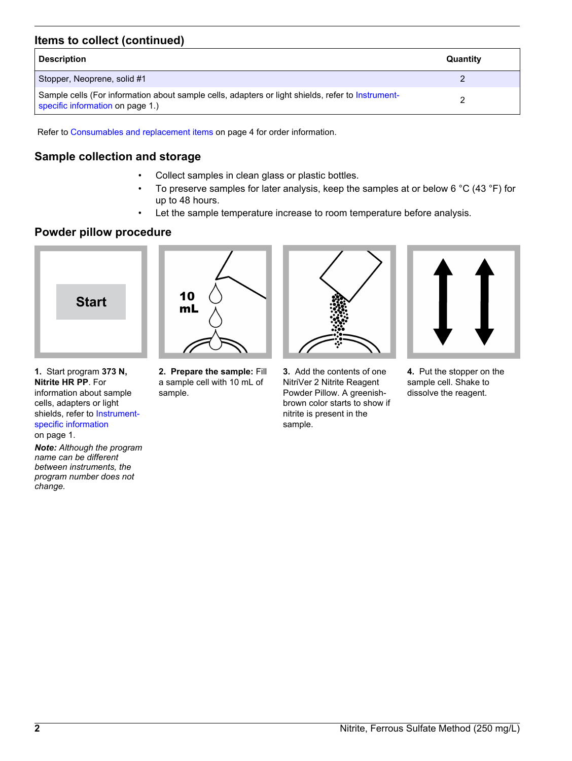#### **Items to collect (continued)**

| <b>Description</b>                                                                                                                    | Quantity |
|---------------------------------------------------------------------------------------------------------------------------------------|----------|
| Stopper, Neoprene, solid #1                                                                                                           |          |
| Sample cells (For information about sample cells, adapters or light shields, refer to Instrument-<br>specific information on page 1.) |          |

Refer to [Consumables and replacement items](#page-3-0) on page 4 for order information.

#### **Sample collection and storage**

- Collect samples in clean glass or plastic bottles.
- To preserve samples for later analysis, keep the samples at or below 6  $^{\circ}$ C (43  $^{\circ}$ F) for up to 48 hours.
- Let the sample temperature increase to room temperature before analysis.

#### **Powder pillow procedure**



**1.** Start program **373 N, Nitrite HR PP**. For information about sample cells, adapters or light shields, refer to [Instrument](#page-0-1)[specific information](#page-0-1) on page 1.

*Note: Although the program name can be different between instruments, the program number does not change.*



**2. Prepare the sample:** Fill a sample cell with 10 mL of sample.



**3.** Add the contents of one NitriVer 2 Nitrite Reagent Powder Pillow. A greenishbrown color starts to show if nitrite is present in the sample.



**4.** Put the stopper on the sample cell. Shake to dissolve the reagent.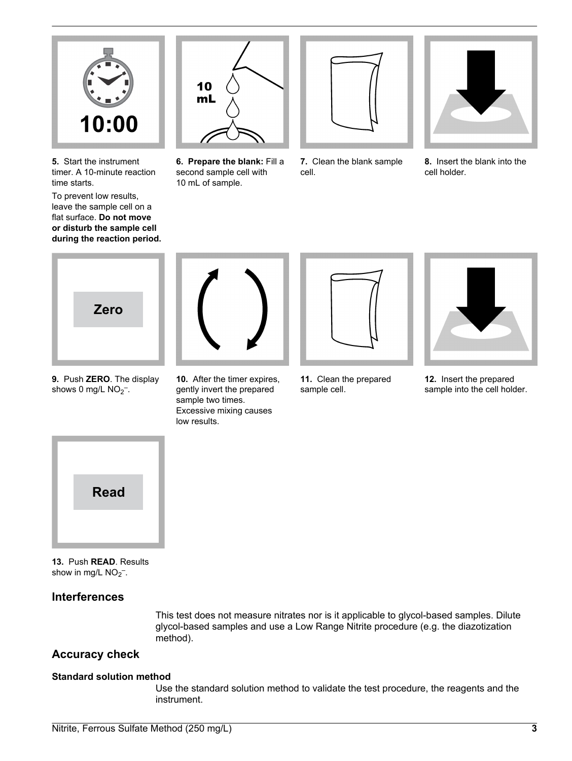

**5.** Start the instrument timer. A 10-minute reaction time starts.

To prevent low results, leave the sample cell on a flat surface. **Do not move or disturb the sample cell during the reaction period.**



**6. Prepare the blank:** Fill a second sample cell with 10 mL of sample.



**7.** Clean the blank sample cell.



**8.** Insert the blank into the cell holder.



**9.** Push **ZERO**. The display shows 0 mg/L  $NO<sub>2</sub>$ .

**10.** After the timer expires, gently invert the prepared sample two times. Excessive mixing causes

low results.



**11.** Clean the prepared sample cell.



**12.** Insert the prepared sample into the cell holder.



**13.** Push **READ**. Results show in mg/L  $NO<sub>2</sub><sup>-</sup>$ .

#### **Interferences**

This test does not measure nitrates nor is it applicable to glycol-based samples. Dilute glycol-based samples and use a Low Range Nitrite procedure (e.g. the diazotization method).

#### **Accuracy check**

#### **Standard solution method**

Use the standard solution method to validate the test procedure, the reagents and the instrument.